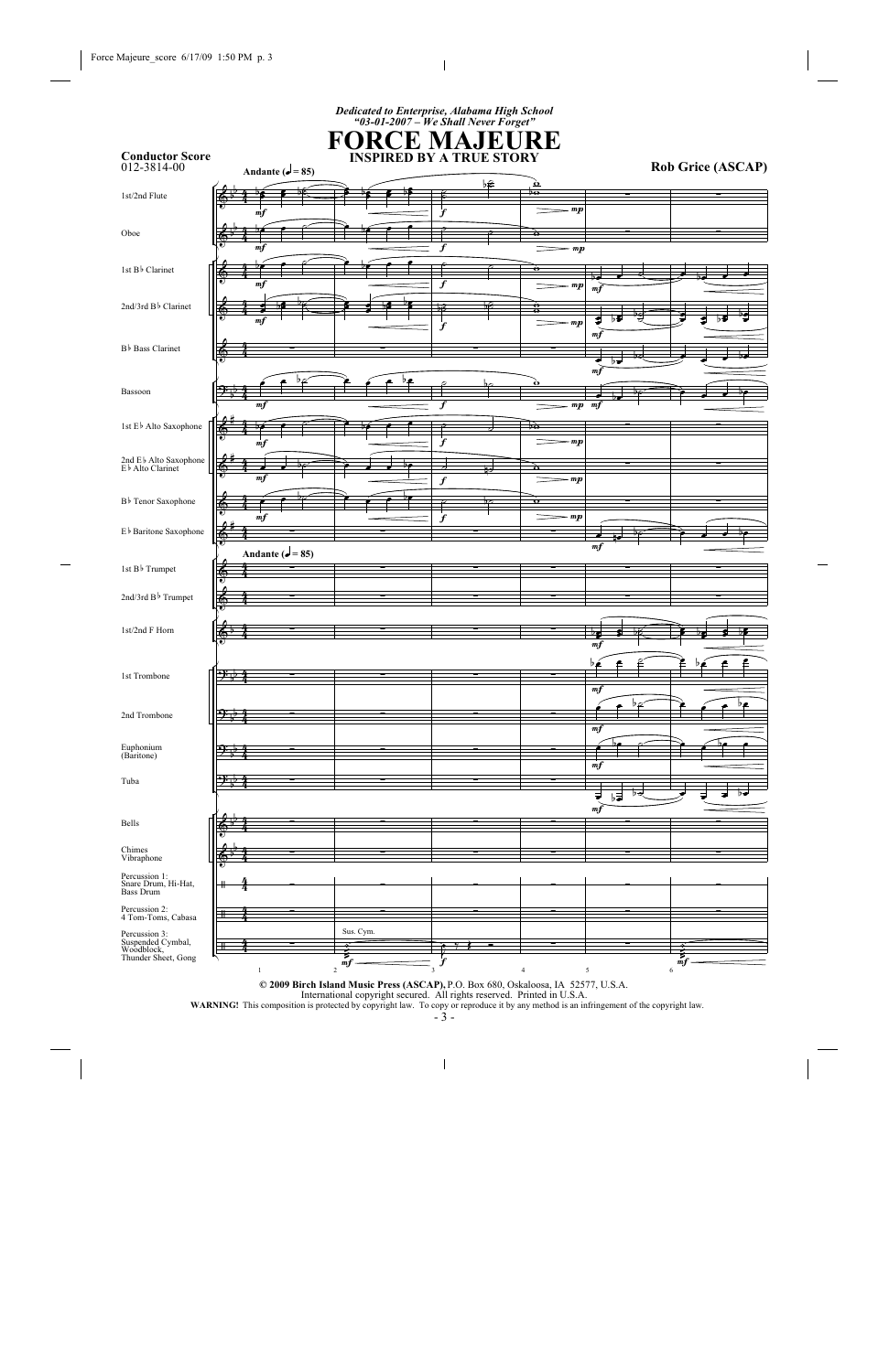*Dedicated to Enterprise, Alabama High School "03-01-2007 – We Shall Never Forget"*

|                                                                         |                               | <b>FORCE MAJEURE</b> |                                 |                                          |                              |                                |
|-------------------------------------------------------------------------|-------------------------------|----------------------|---------------------------------|------------------------------------------|------------------------------|--------------------------------|
| <b>Conductor Score</b><br>012-3814-00                                   | Andante ( $\sqrt{ } = 85$ )   |                      | <b>INSPIRED BY A TRUE STORY</b> |                                          |                              | <b>Rob Grice (ASCAP)</b>       |
| 1st/2nd Flute                                                           |                               |                      | bβ                              | $\dot{\mathbf{\Omega}}$<br>$b\mathbf{o}$ |                              |                                |
|                                                                         | mf                            |                      | $\boldsymbol{f}$                | – mp                                     |                              |                                |
| Oboe                                                                    |                               |                      |                                 | $\bullet$                                |                              |                                |
|                                                                         | mf                            |                      | $\pmb{f}$                       | - mp                                     |                              |                                |
| $1$ st B $\flat$ Clarinet                                               | ⊕                             |                      |                                 | o                                        |                              |                                |
|                                                                         | m f                           |                      | $\bar{\bm{f}}$                  | mp                                       | mf                           |                                |
| 2nd/3rd Bb Clarinet                                                     | ⋐                             |                      | $\frac{1}{2}$<br>Ж              | o<br>ө                                   |                              |                                |
|                                                                         | mf                            |                      | $\boldsymbol{f}$                | $-mp$                                    | m f                          |                                |
| B <sub>b</sub> Bass Clarinet                                            | $\mathbf{\mathcal{G}}$        |                      |                                 |                                          |                              |                                |
|                                                                         |                               |                      |                                 |                                          | $\overline{b}$<br>mf         |                                |
| Bassoon                                                                 |                               | ♭e                   |                                 |                                          |                              |                                |
|                                                                         | $\overline{mf}$               |                      | $\boldsymbol{f}$                | $mp \sqrt{mf}$                           |                              |                                |
| $1$ st Eb Alto Saxophone                                                |                               |                      |                                 | क्र                                      |                              |                                |
|                                                                         | m f                           |                      | $\boldsymbol{f}$                | $-mp$                                    |                              |                                |
| $2$ nd E $\flat$ Alto Saxophone E $\flat$ Alto Clarinet                 | ⊕                             |                      | 0                               | ⊖                                        |                              |                                |
|                                                                         | $\overline{mf}$               |                      | $\boldsymbol{f}$                | - mp                                     |                              |                                |
| B <sub>b</sub> Tenor Saxophone                                          |                               |                      |                                 |                                          |                              |                                |
|                                                                         | m f                           |                      | $\boldsymbol{f}$                | $-mp$                                    |                              |                                |
| $\to\hspace{-1.5mm}$ Baritone Saxophone                                 | $\overline{\Phi}$             |                      |                                 |                                          | m f                          |                                |
|                                                                         | Andante ( $\bullet$ = 85)     |                      |                                 |                                          |                              |                                |
| 1st B $\flat$ Trumpet                                                   |                               |                      |                                 |                                          |                              |                                |
| 2nd/3rd B $\frac{1}{2}$ Trumpet                                         |                               |                      |                                 |                                          |                              |                                |
|                                                                         |                               |                      |                                 |                                          |                              |                                |
| 1st/2nd F Horn                                                          | $\pmb{2}_{\mathbf{b}}$<br>r a |                      |                                 |                                          | m f                          |                                |
|                                                                         |                               |                      |                                 |                                          |                              | $b$ $\epsilon$                 |
| 1st Trombone                                                            | $\mathfrak{P} \sharp$         |                      |                                 |                                          |                              |                                |
|                                                                         |                               |                      |                                 |                                          | $\it mf$                     |                                |
| 2nd Trombone                                                            | $\frac{1}{2}$                 |                      |                                 |                                          | Þρ                           | ♭e                             |
|                                                                         |                               |                      |                                 |                                          | m f                          |                                |
| Euphonium<br>(Baritone)                                                 | $\frac{1}{2}$                 |                      |                                 |                                          |                              |                                |
|                                                                         |                               |                      |                                 |                                          | m f                          |                                |
| Tuba                                                                    | $\mathfrak{P} \sharp$         |                      |                                 |                                          | $\overline{b}$<br>$b$ z<br>⋣ | bə                             |
|                                                                         |                               |                      |                                 |                                          | mf                           |                                |
| Bells                                                                   |                               |                      |                                 |                                          |                              |                                |
| Chimes<br>Vibraphone                                                    |                               |                      |                                 |                                          |                              |                                |
|                                                                         |                               |                      |                                 |                                          |                              |                                |
| Percussion 1:<br>Snare Drum, Hi-Hat,<br>Bass Drum                       | ╫<br>4                        |                      |                                 |                                          |                              |                                |
| Percussion 2:<br>4 Tom-Toms, Cabasa                                     |                               |                      |                                 |                                          |                              |                                |
|                                                                         |                               | Sus. Cym.            |                                 |                                          |                              |                                |
| Percussion 3:<br>Suspended Cymbal,<br>Woodblock,<br>Thunder Sheet, Gong | ╫                             | $\frac{1}{2}$        |                                 |                                          |                              |                                |
|                                                                         |                               | $\sqrt{2}$           | $\boldsymbol{f}$<br>3           |                                          | $\overline{\phantom{0}}$     | $\frac{\varepsilon}{m f}$<br>6 |

© 2009 Birch Island Music Press (ASCAP), P.O. Box 680, Oskaloosa, IA 52577, U.S.A. International copyright secured. All rights reserved. Printed in U.S.A. **WARNING!** This composition is protected by copyright law. To copy or reproduce it by any method is an infringement of the copyright law. **© 2009 Birch Island Music Press (ASCAP),**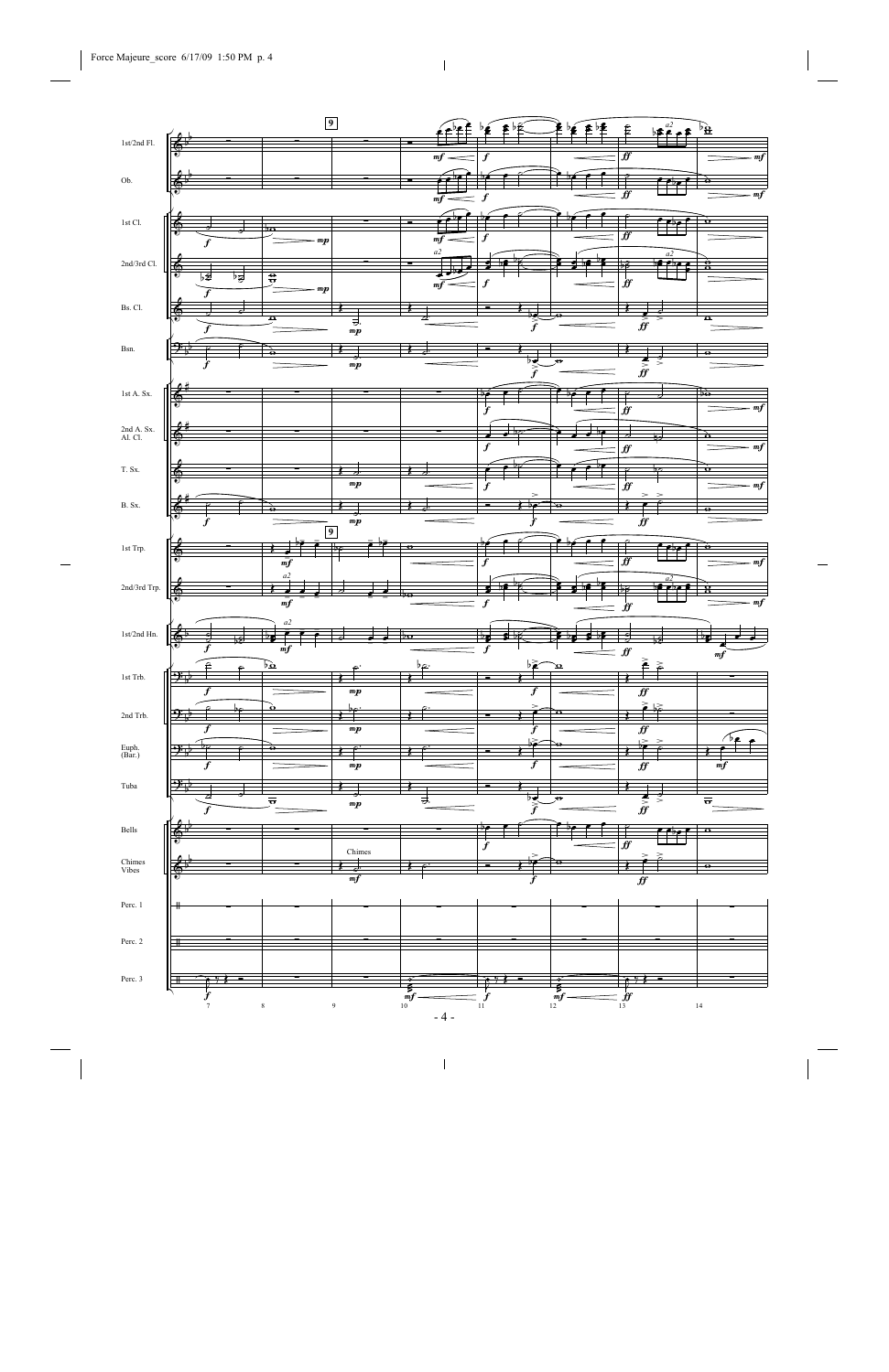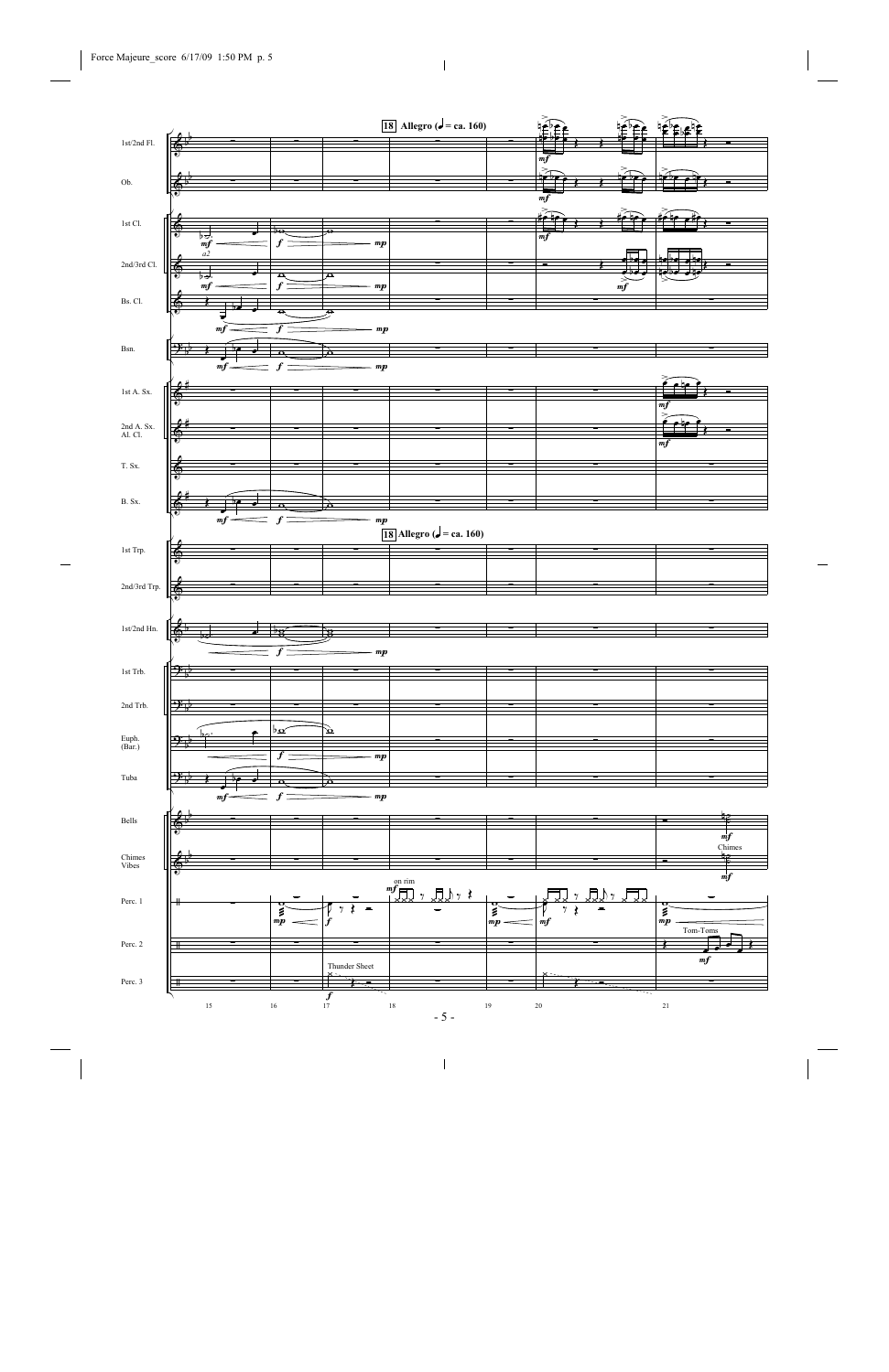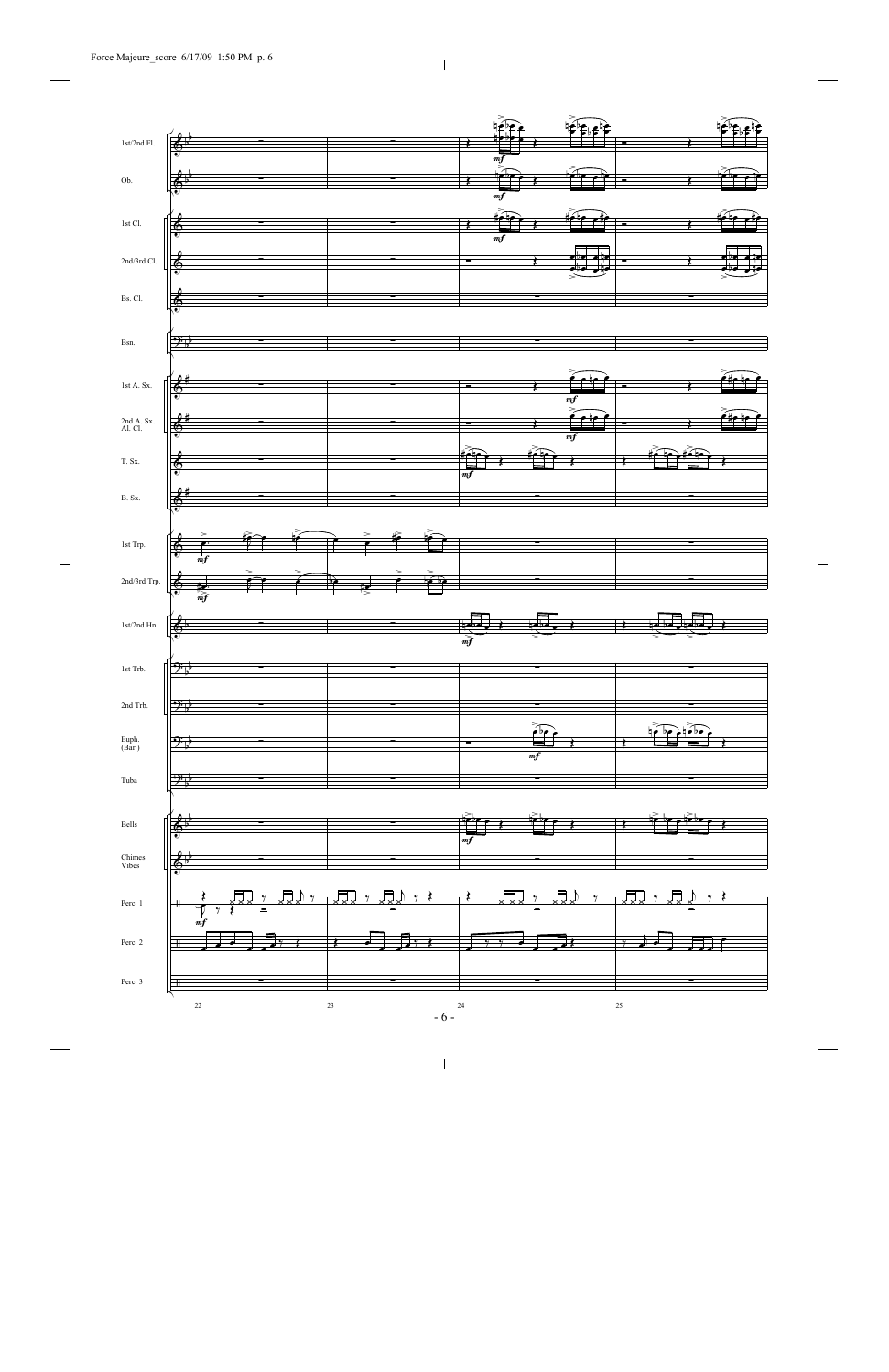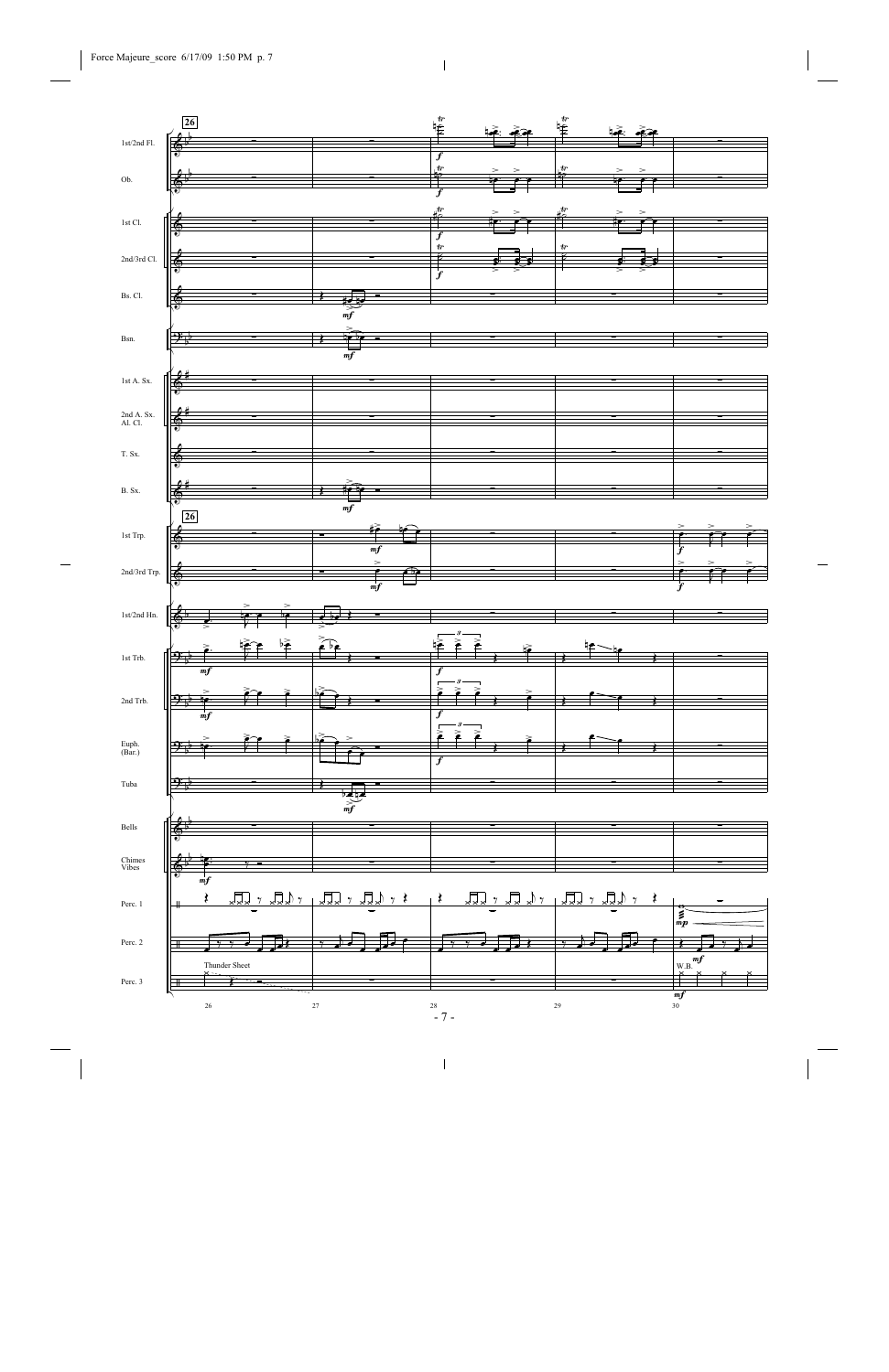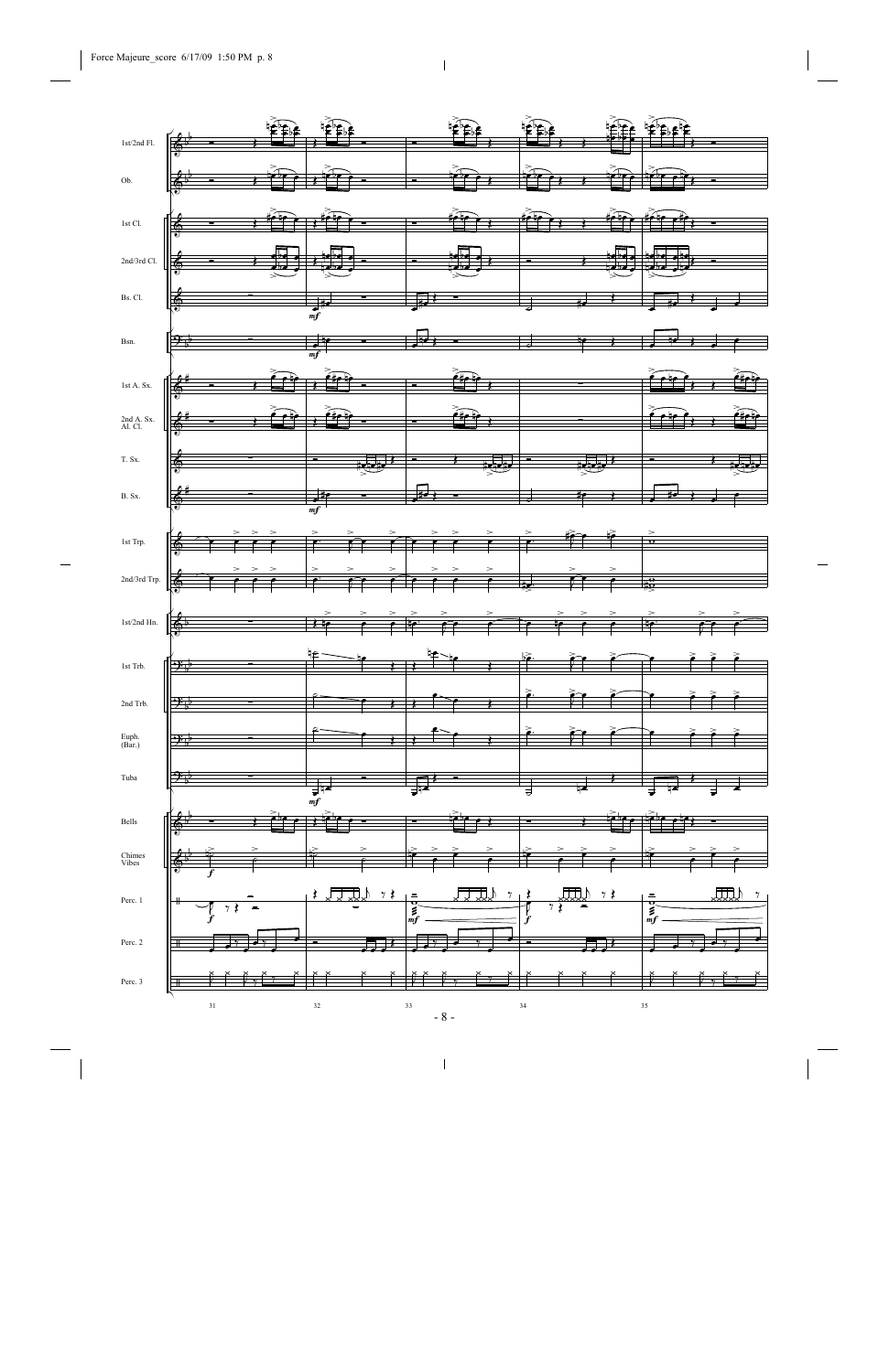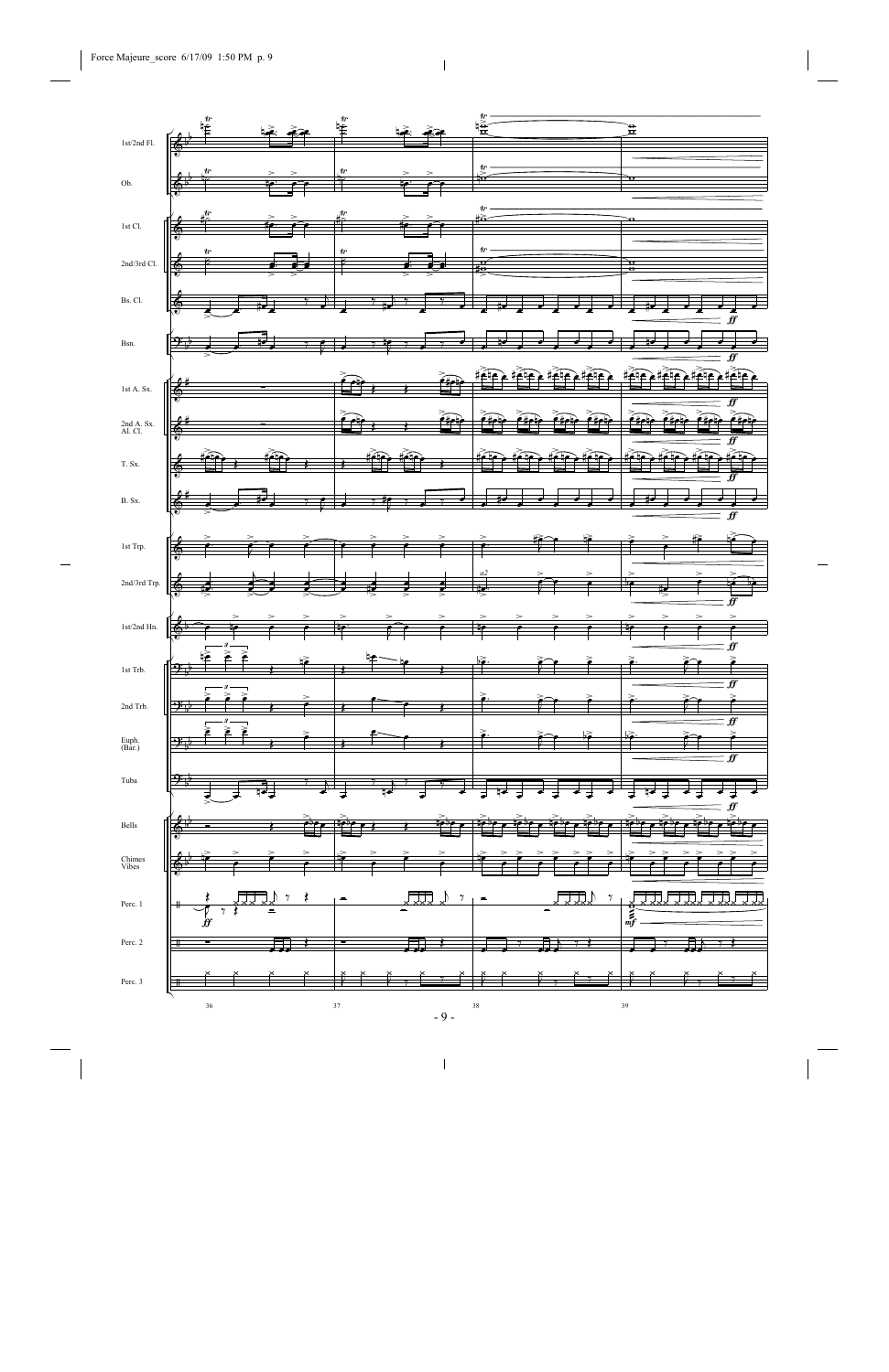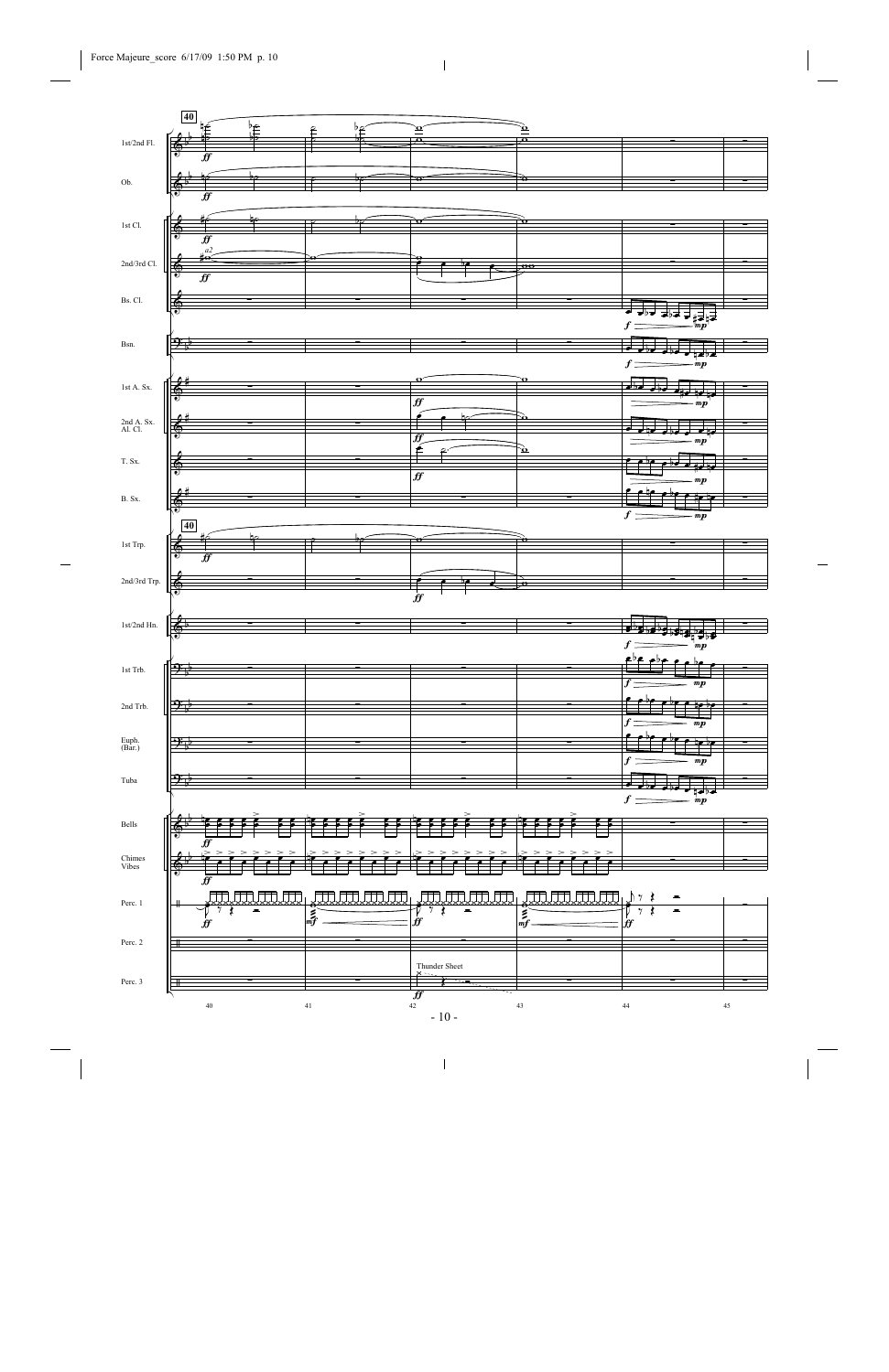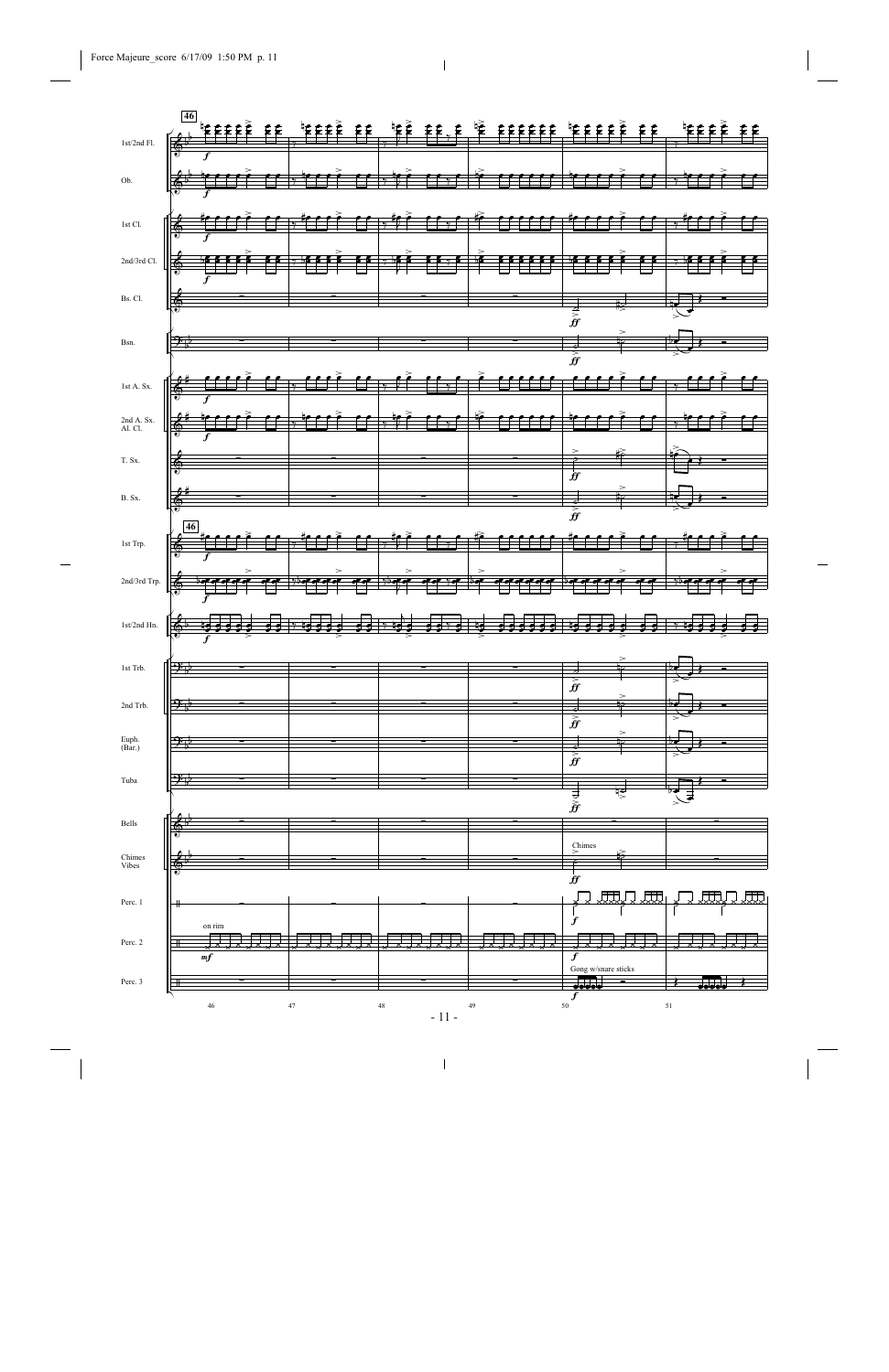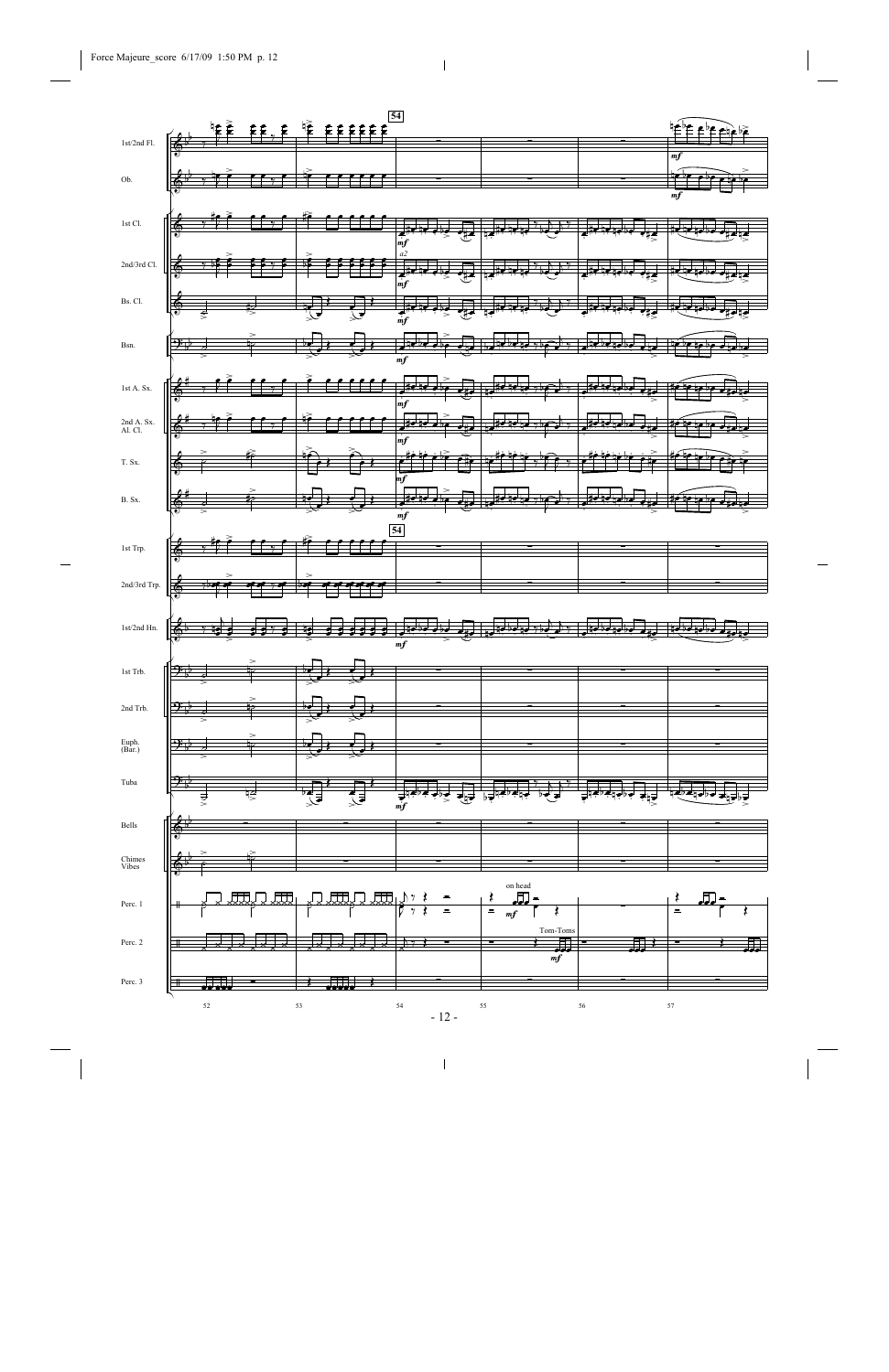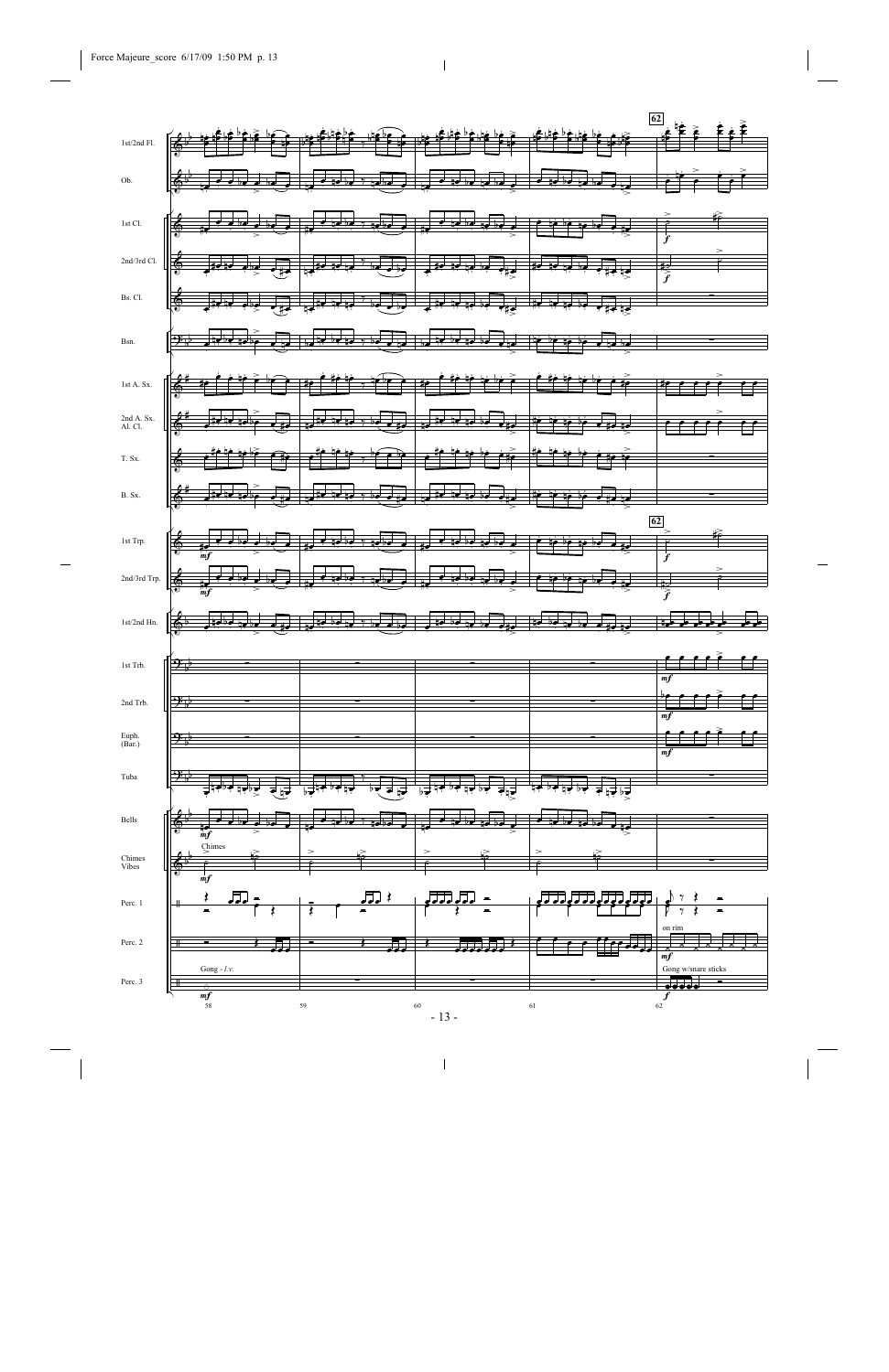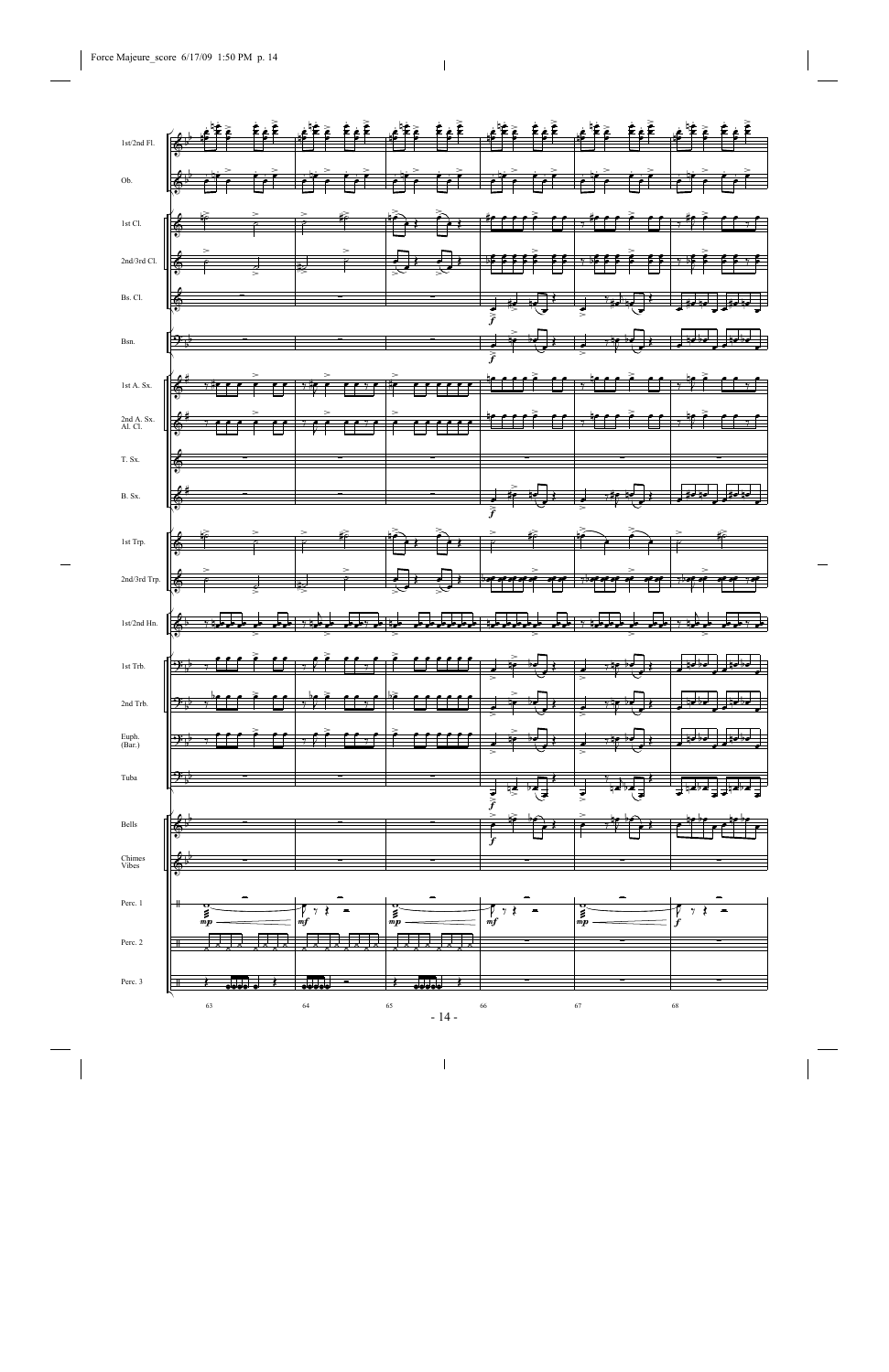

- 14 -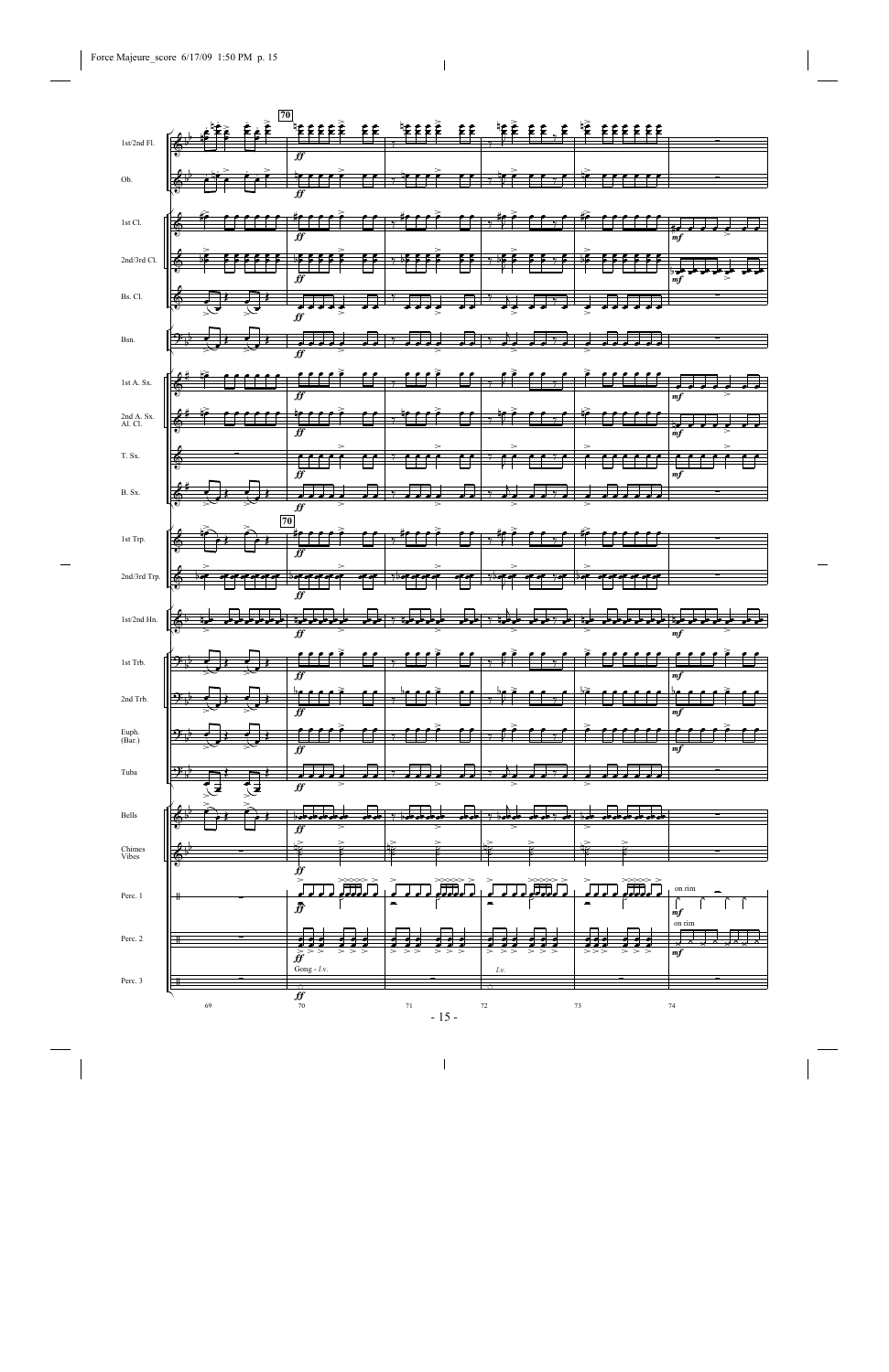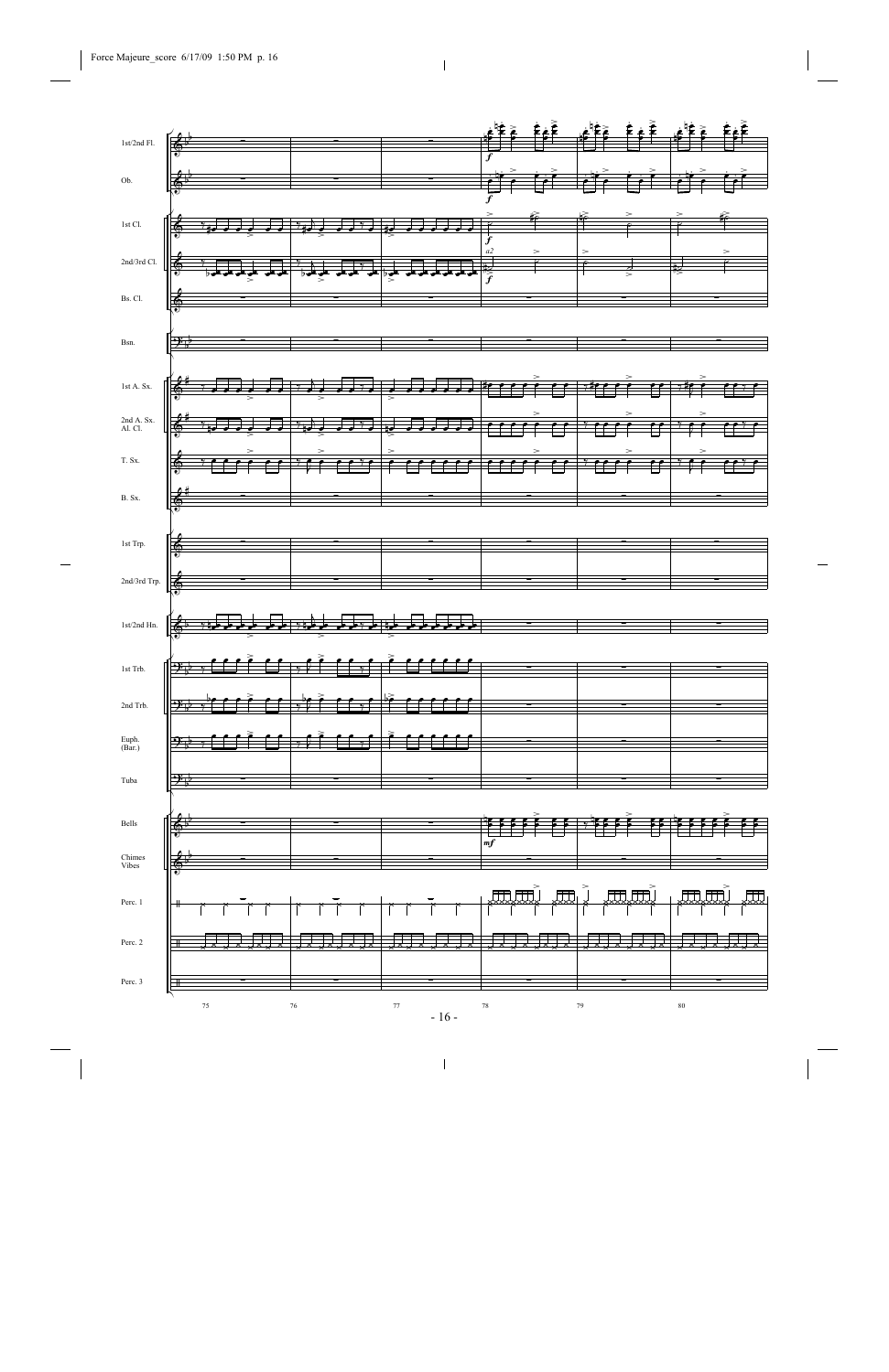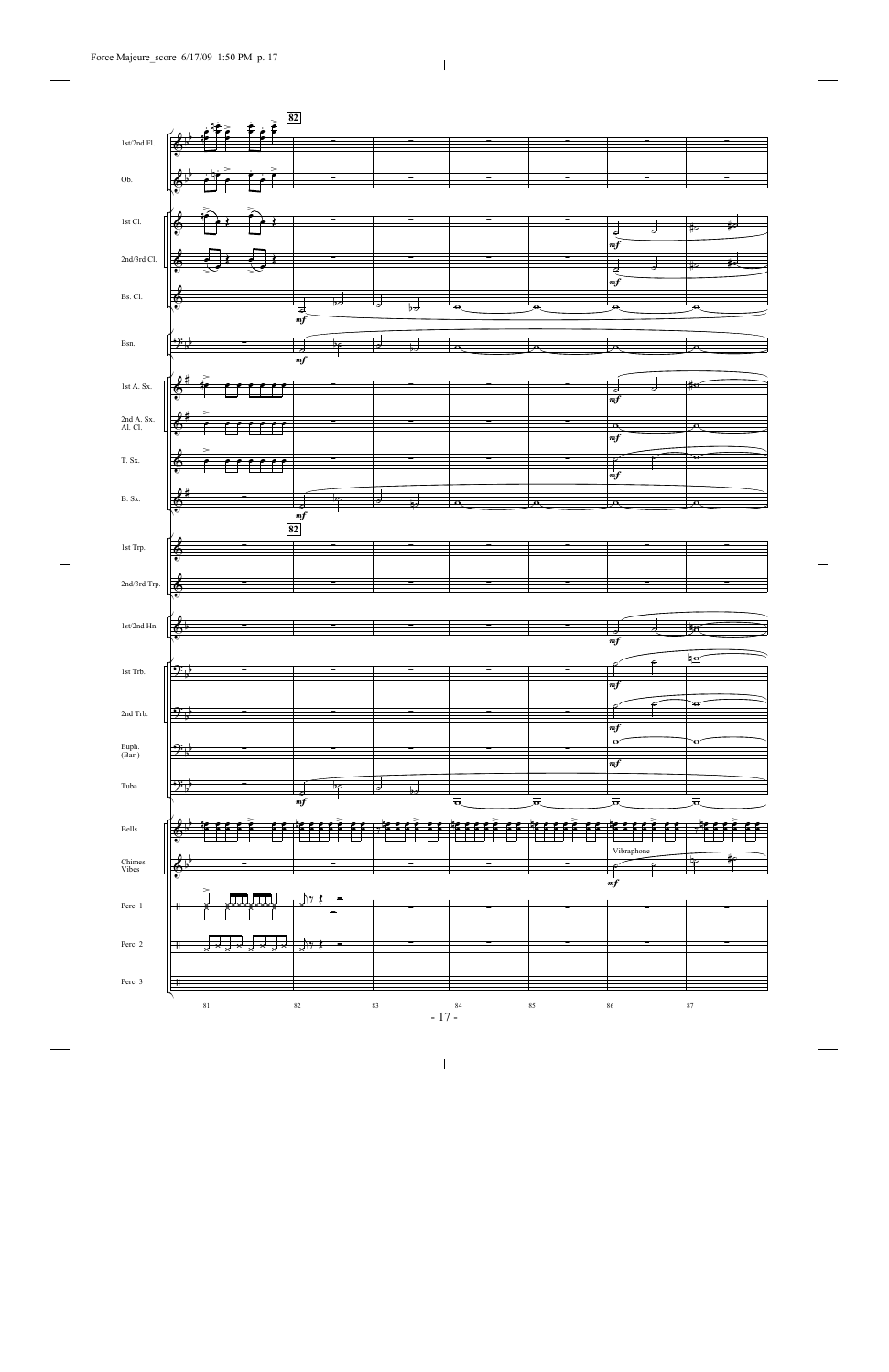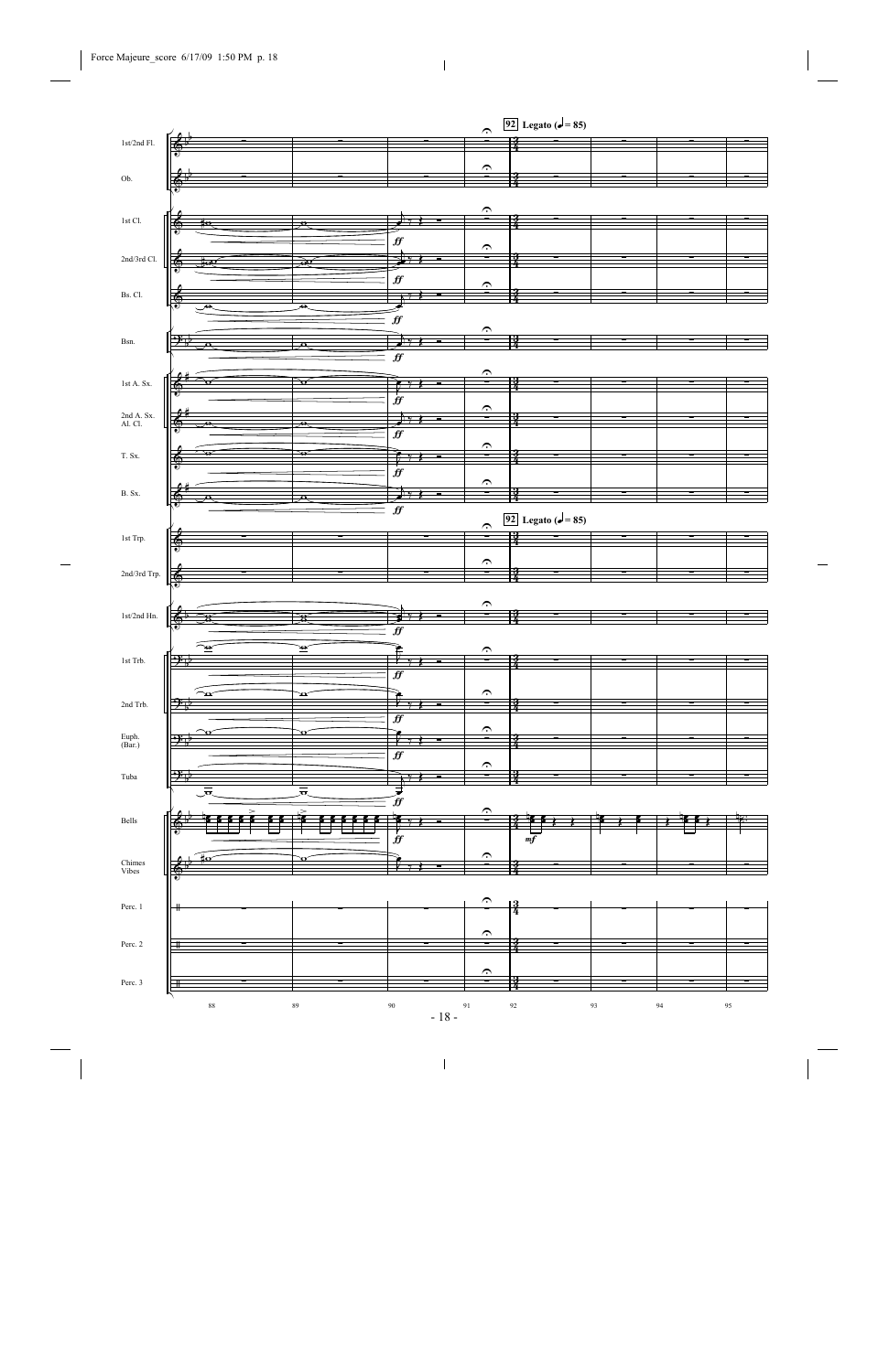

- 18 -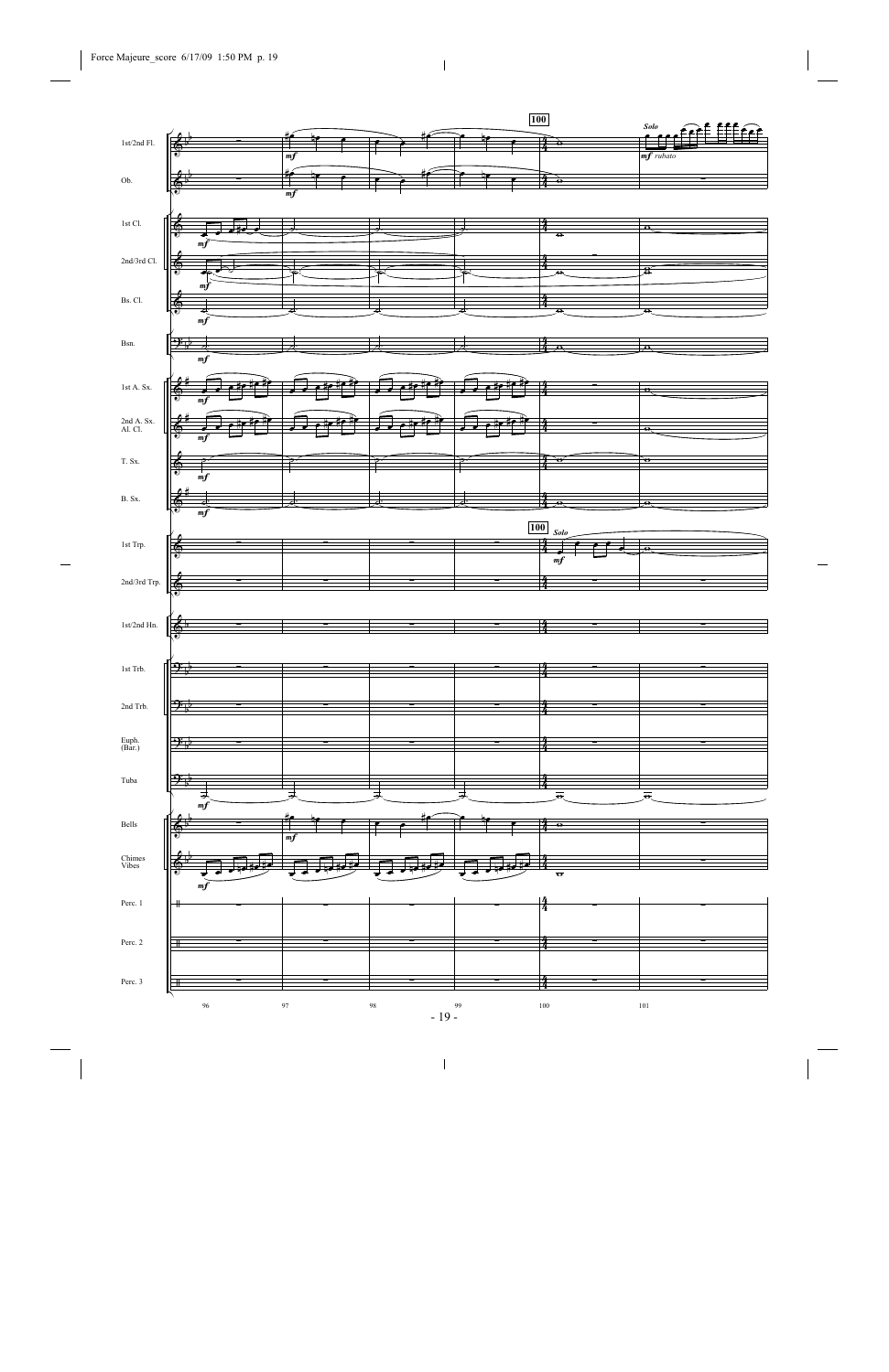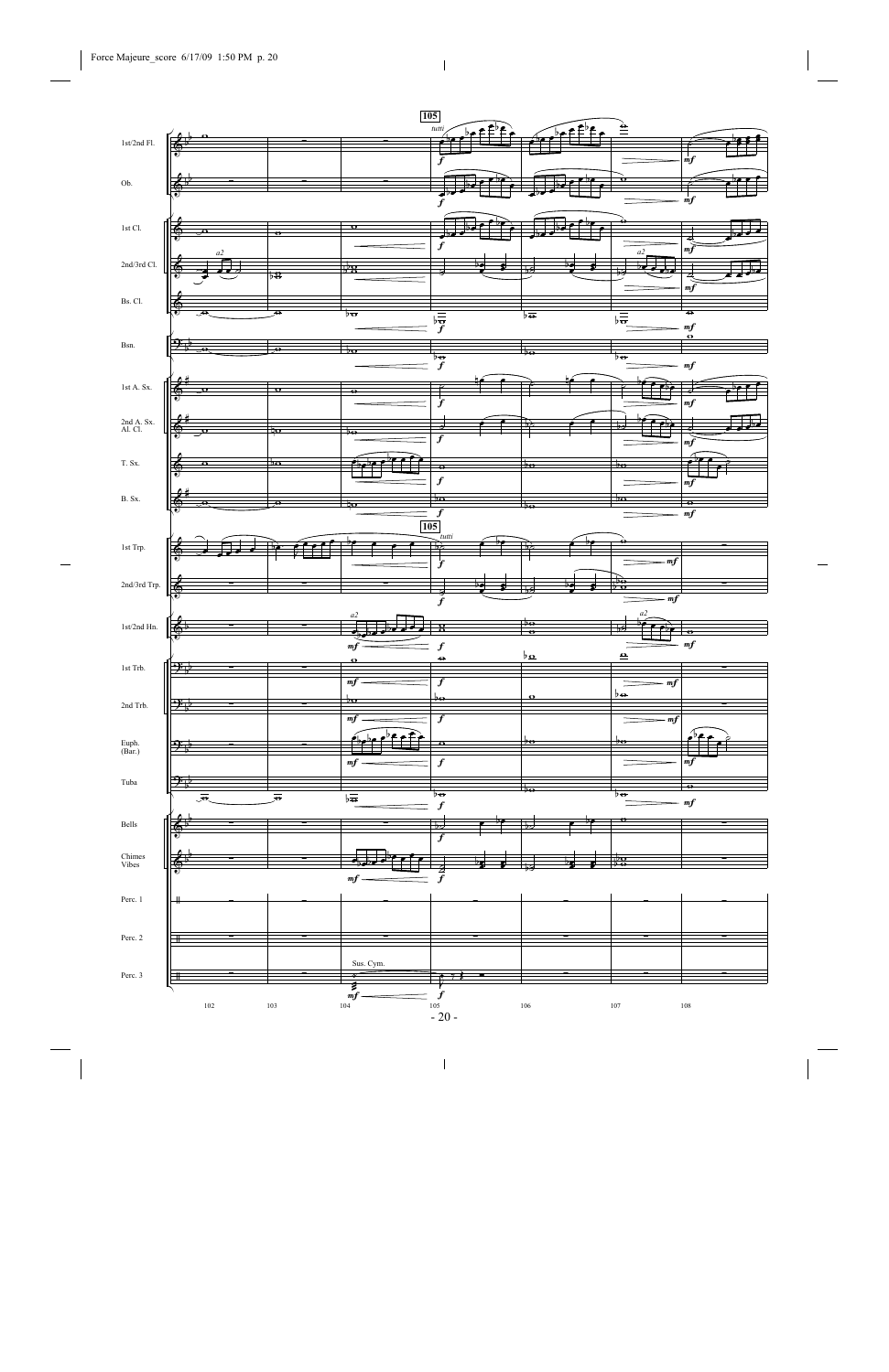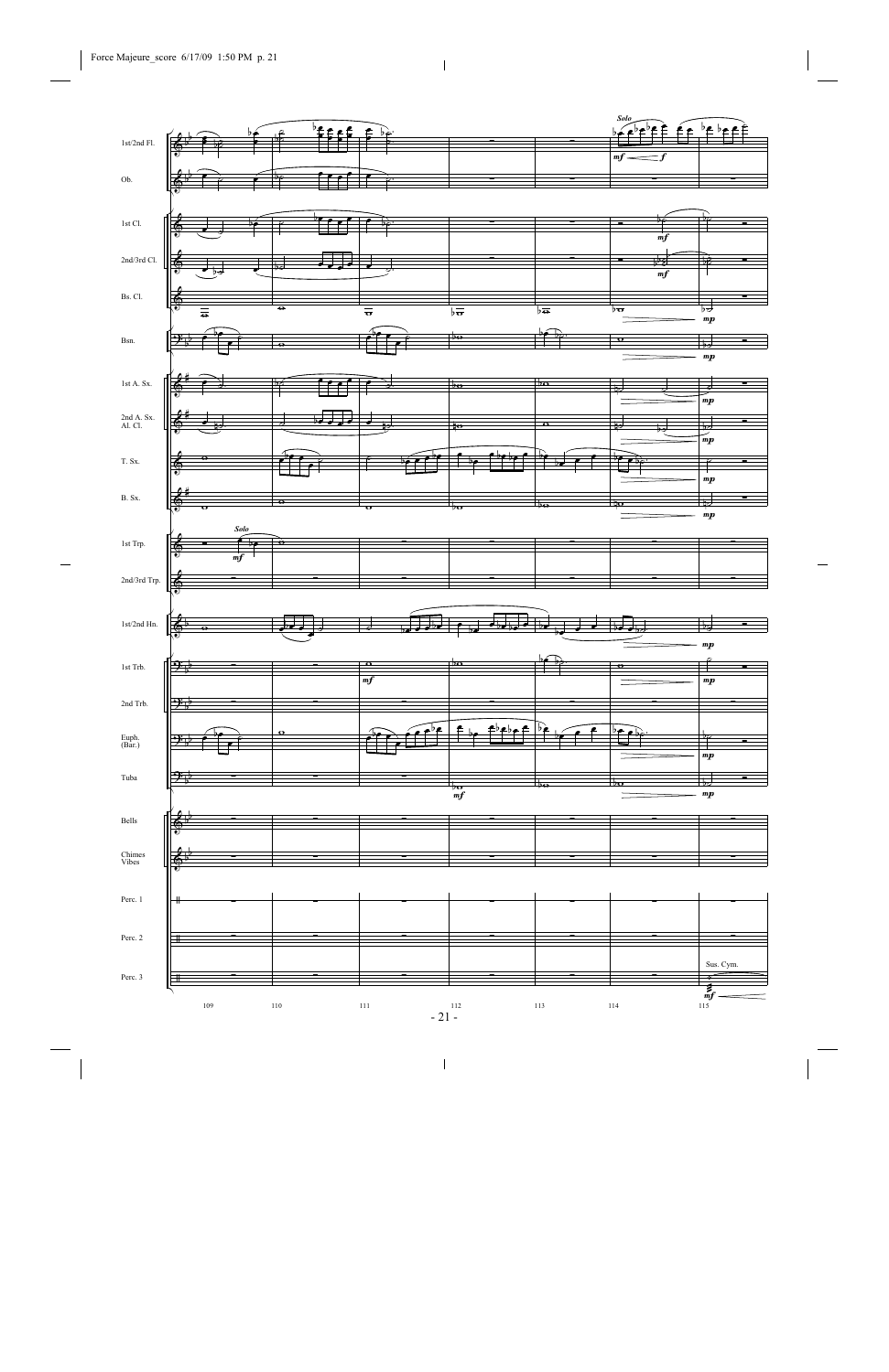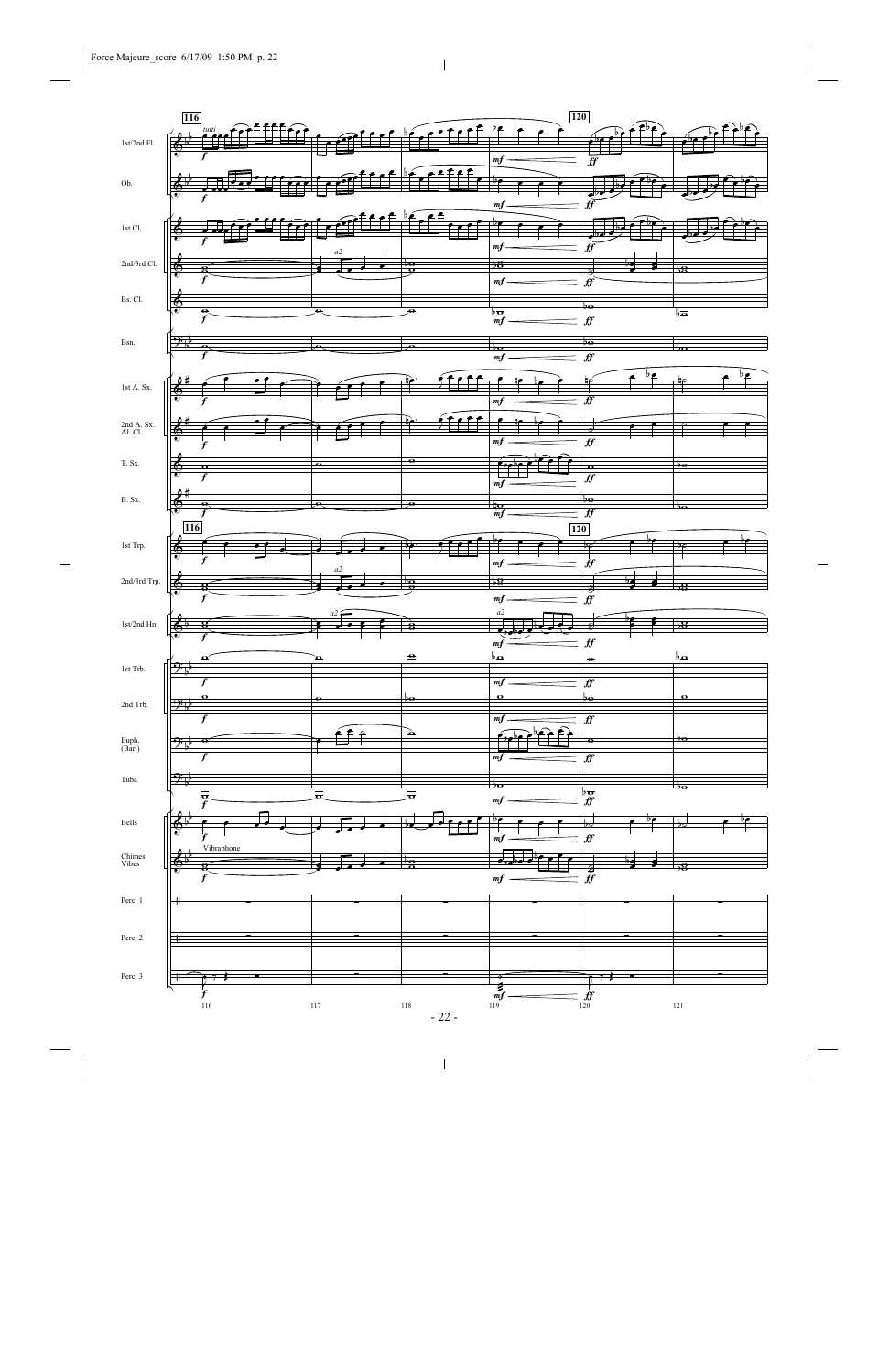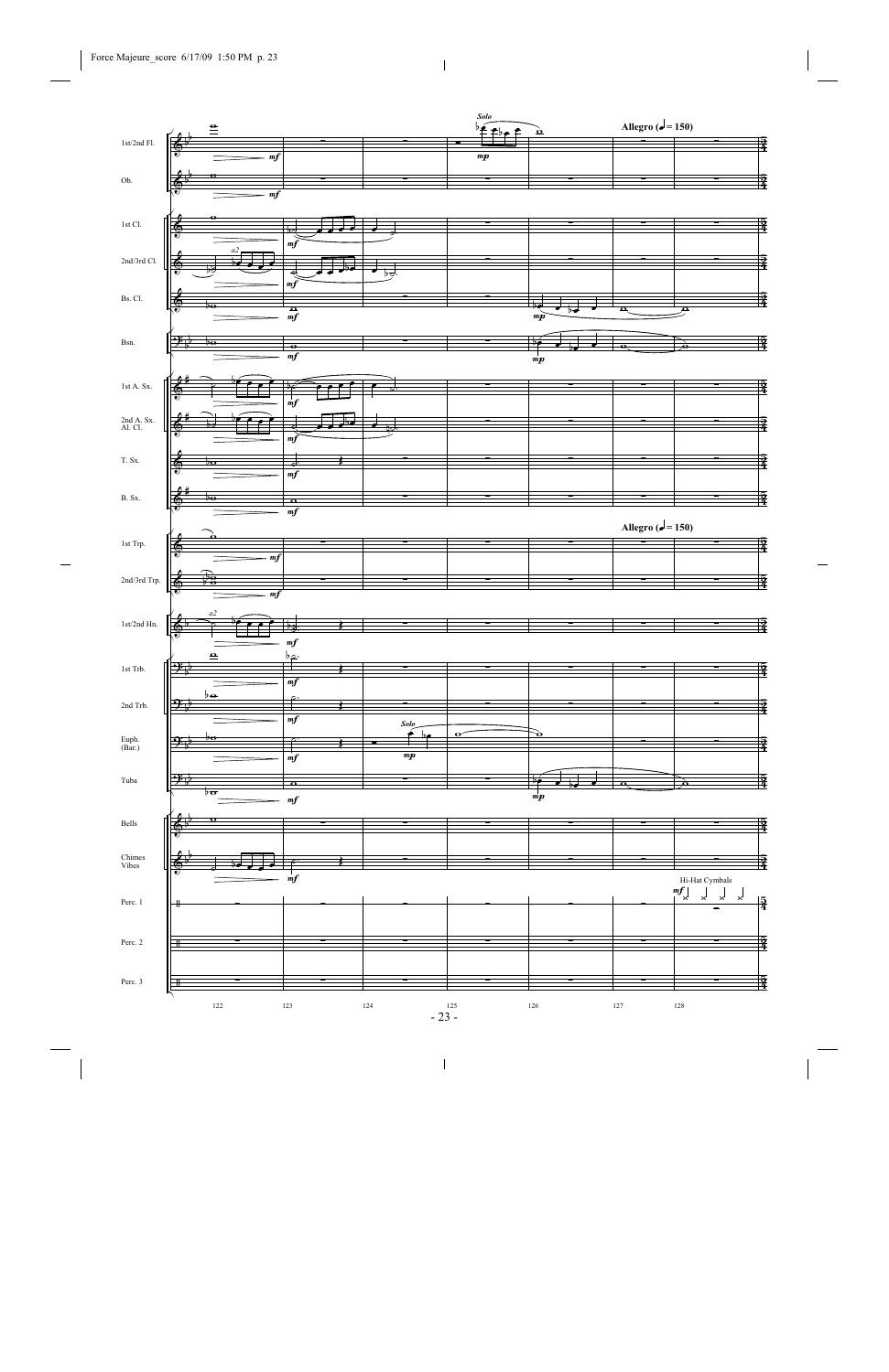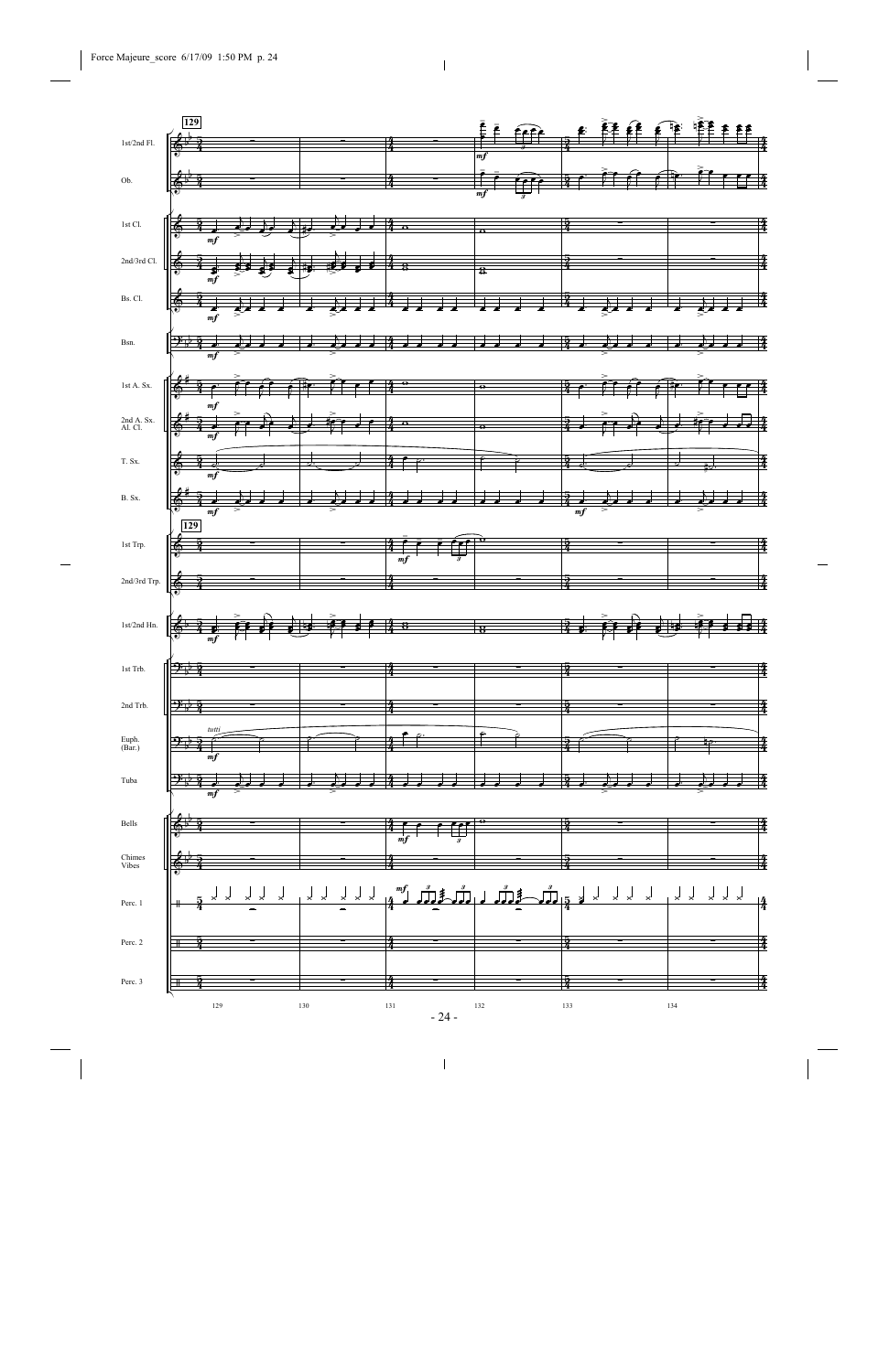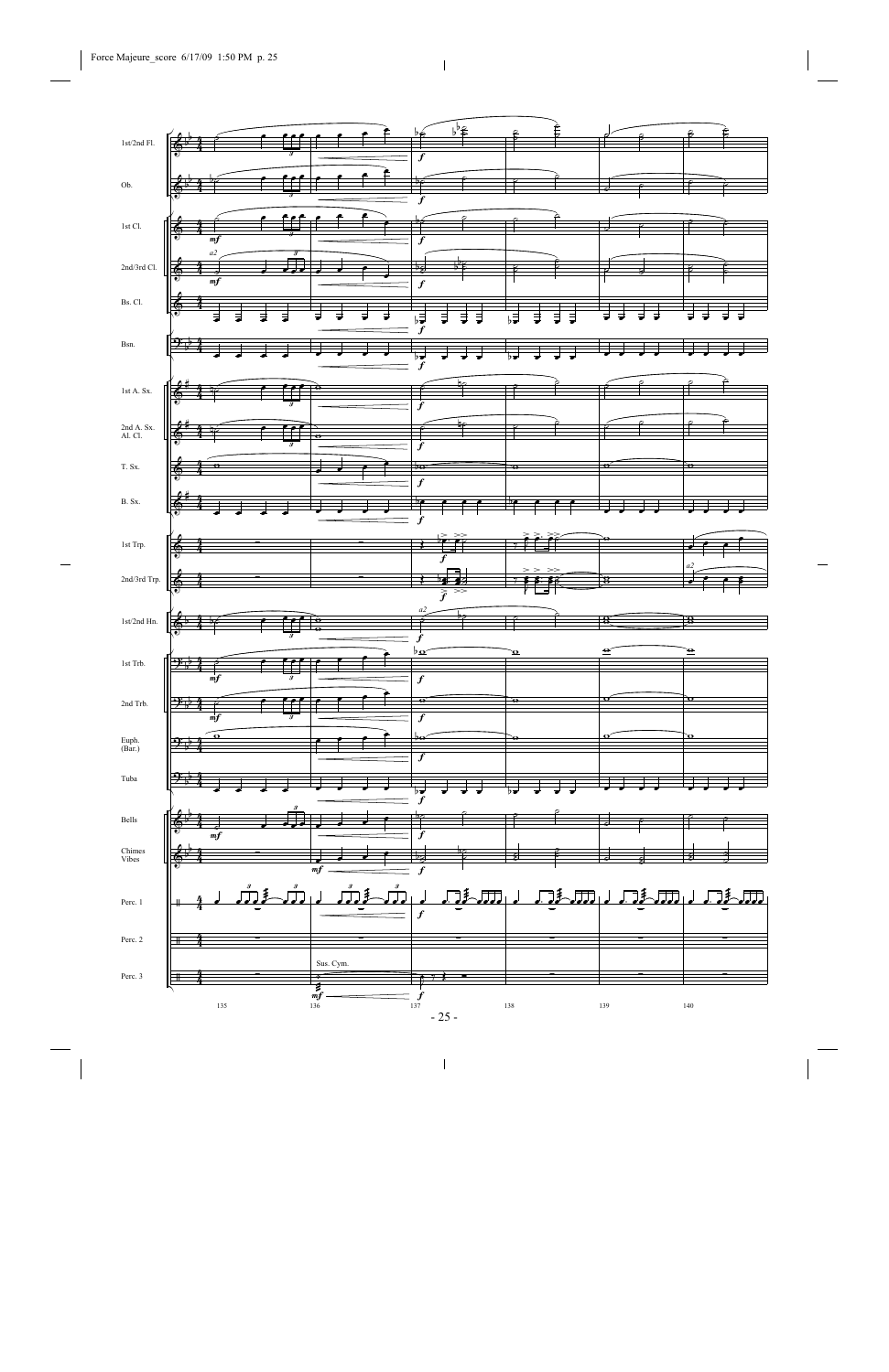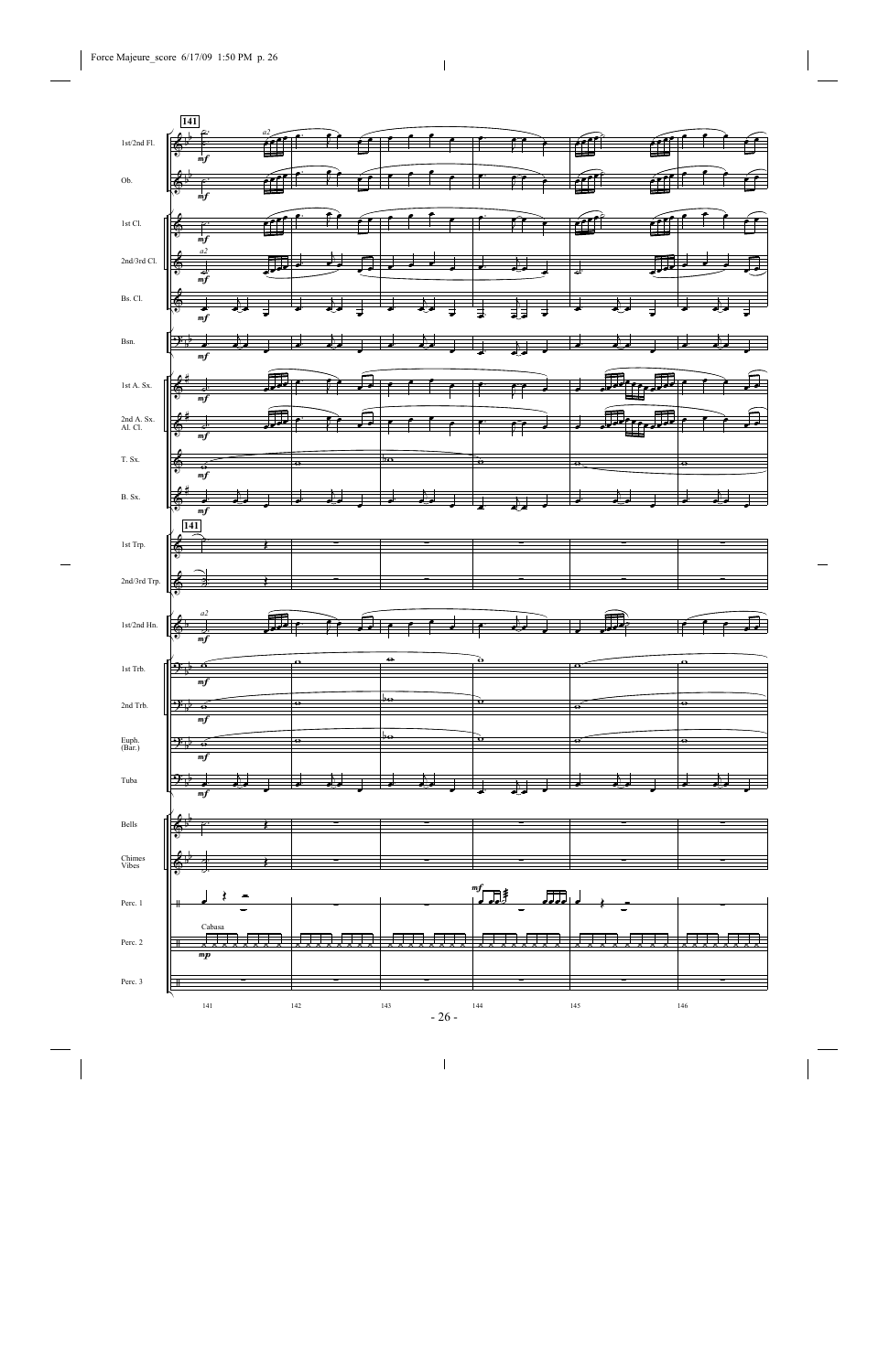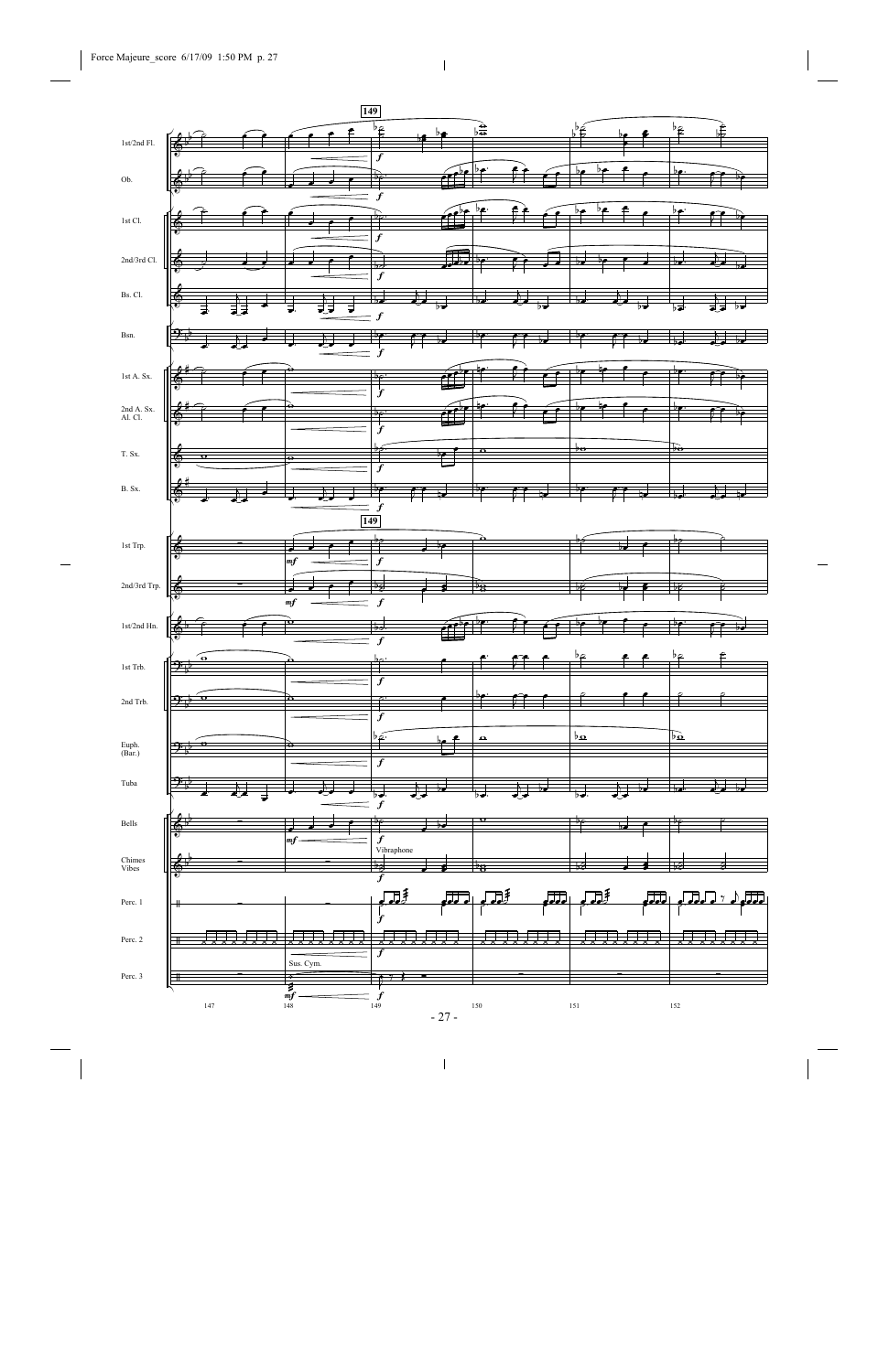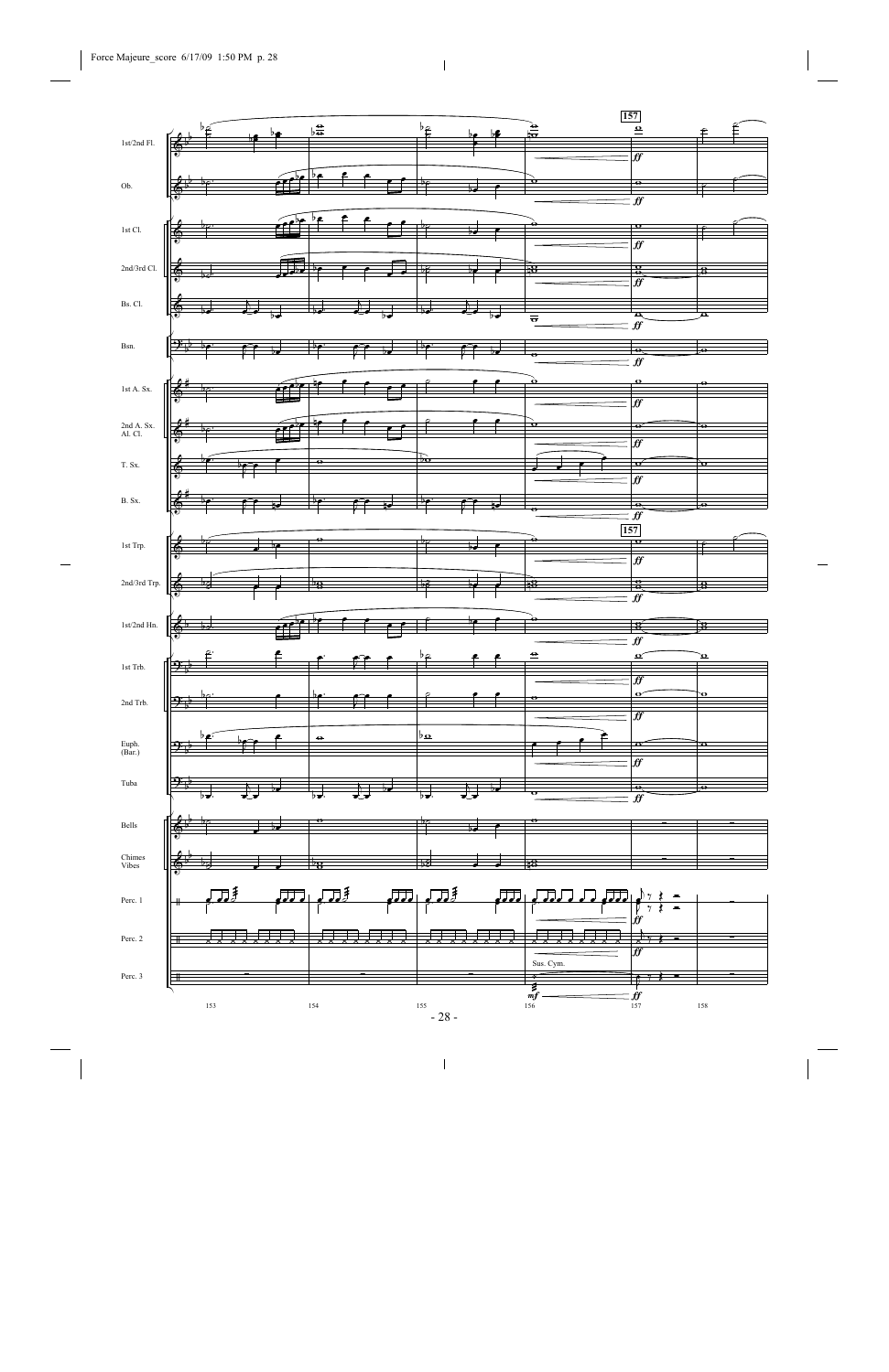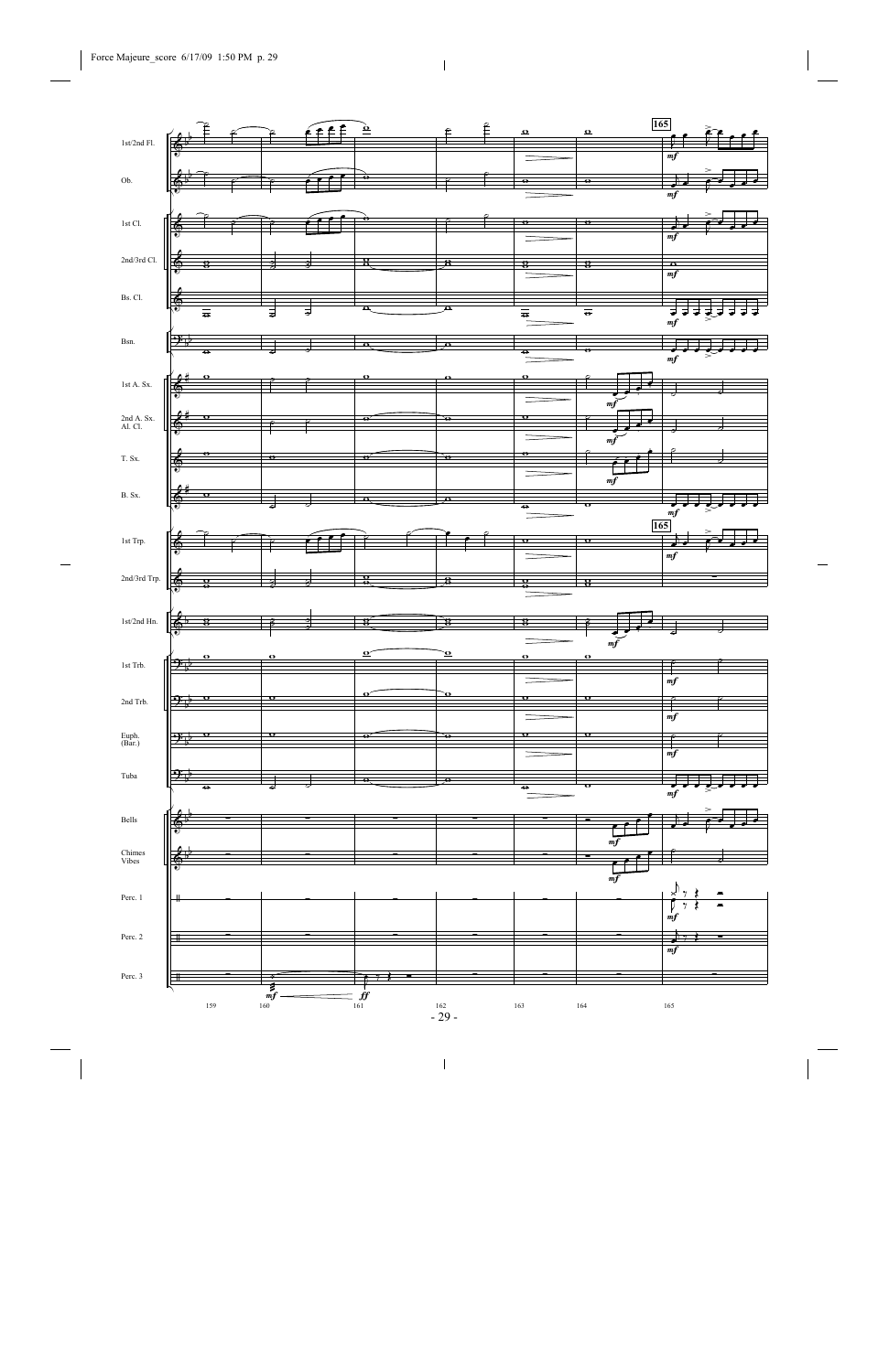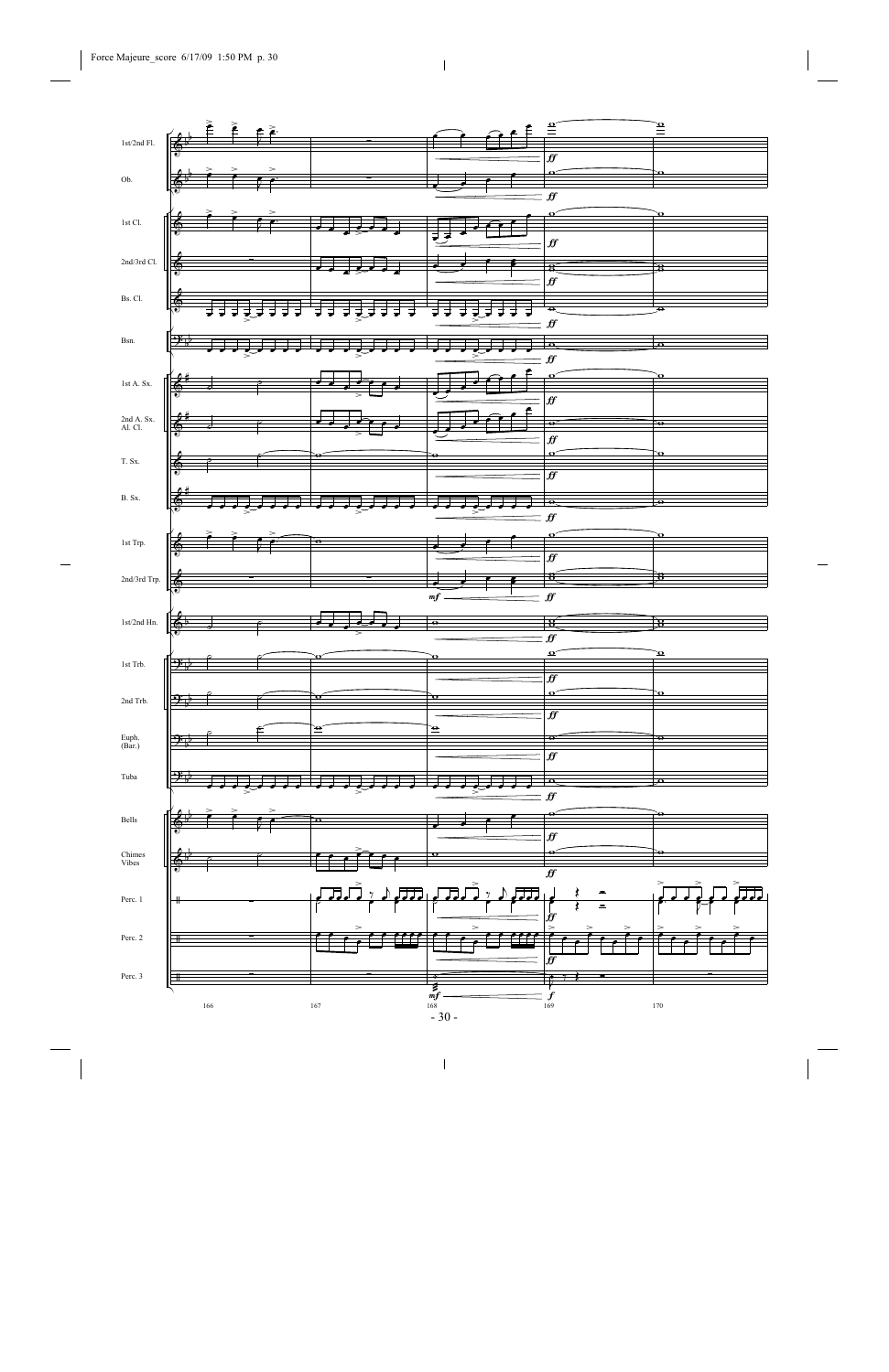